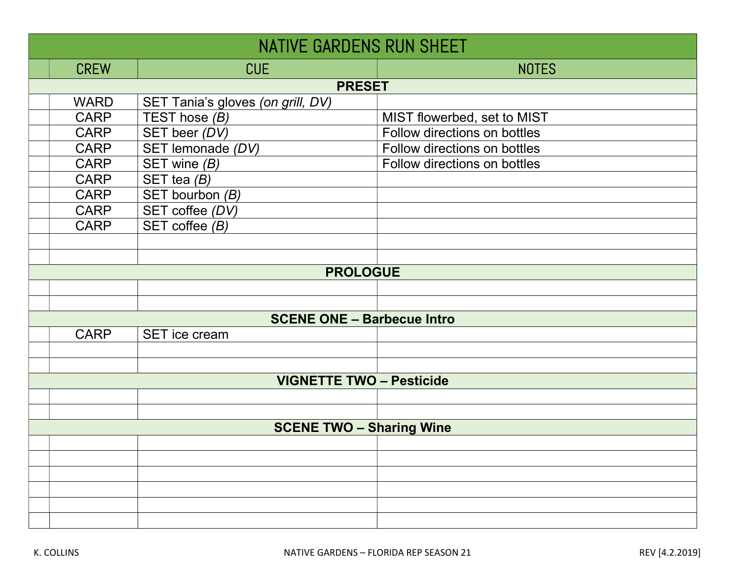| <b>NATIVE GARDENS RUN SHEET</b> |                                   |                              |  |
|---------------------------------|-----------------------------------|------------------------------|--|
| <b>CREW</b>                     | <b>CUE</b>                        | <b>NOTES</b>                 |  |
| <b>PRESET</b>                   |                                   |                              |  |
| <b>WARD</b>                     | SET Tania's gloves (on grill, DV) |                              |  |
| <b>CARP</b>                     | TEST hose $(B)$                   | MIST flowerbed, set to MIST  |  |
| <b>CARP</b>                     | SET beer (DV)                     | Follow directions on bottles |  |
| <b>CARP</b>                     | SET lemonade (DV)                 | Follow directions on bottles |  |
| <b>CARP</b>                     | SET wine $(B)$                    | Follow directions on bottles |  |
| <b>CARP</b>                     | SET tea $(B)$                     |                              |  |
| <b>CARP</b>                     | SET bourbon (B)                   |                              |  |
| <b>CARP</b>                     | SET coffee (DV)                   |                              |  |
| <b>CARP</b>                     | SET coffee $(B)$                  |                              |  |
|                                 |                                   |                              |  |
|                                 |                                   |                              |  |
|                                 | <b>PROLOGUE</b>                   |                              |  |
|                                 |                                   |                              |  |
|                                 |                                   |                              |  |
|                                 | <b>SCENE ONE - Barbecue Intro</b> |                              |  |
| <b>CARP</b>                     | SET ice cream                     |                              |  |
|                                 |                                   |                              |  |
|                                 |                                   |                              |  |
|                                 | <b>VIGNETTE TWO - Pesticide</b>   |                              |  |
|                                 |                                   |                              |  |
|                                 |                                   |                              |  |
|                                 | <b>SCENE TWO - Sharing Wine</b>   |                              |  |
|                                 |                                   |                              |  |
|                                 |                                   |                              |  |
|                                 |                                   |                              |  |
|                                 |                                   |                              |  |
|                                 |                                   |                              |  |
|                                 |                                   |                              |  |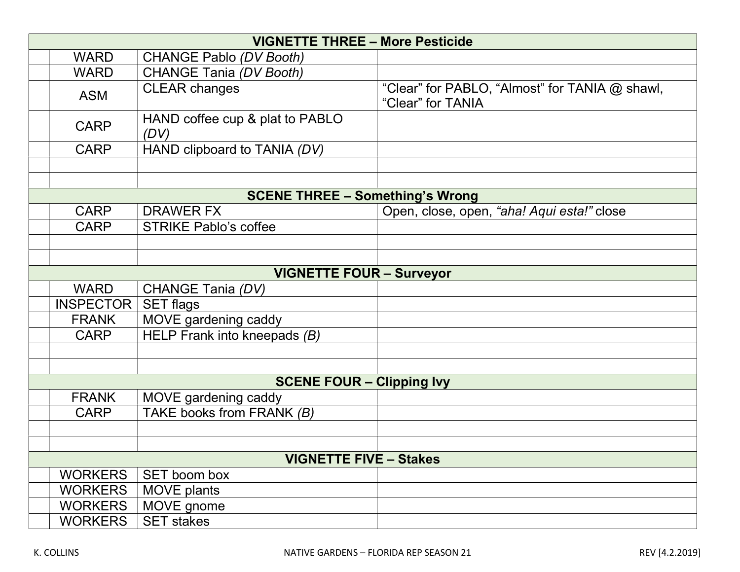| <b>VIGNETTE THREE - More Pesticide</b> |                  |                                         |                                                                     |
|----------------------------------------|------------------|-----------------------------------------|---------------------------------------------------------------------|
|                                        | <b>WARD</b>      | <b>CHANGE Pablo (DV Booth)</b>          |                                                                     |
|                                        | <b>WARD</b>      | CHANGE Tania (DV Booth)                 |                                                                     |
|                                        | <b>ASM</b>       | <b>CLEAR changes</b>                    | "Clear" for PABLO, "Almost" for TANIA @ shawl,<br>"Clear" for TANIA |
|                                        | <b>CARP</b>      | HAND coffee cup & plat to PABLO<br>(DV) |                                                                     |
|                                        | <b>CARP</b>      | HAND clipboard to TANIA (DV)            |                                                                     |
|                                        |                  |                                         |                                                                     |
|                                        |                  |                                         |                                                                     |
|                                        |                  | <b>SCENE THREE - Something's Wrong</b>  |                                                                     |
|                                        | <b>CARP</b>      | <b>DRAWER FX</b>                        | Open, close, open, "aha! Aqui esta!" close                          |
|                                        | <b>CARP</b>      | <b>STRIKE Pablo's coffee</b>            |                                                                     |
|                                        |                  |                                         |                                                                     |
|                                        |                  |                                         |                                                                     |
|                                        |                  | <b>VIGNETTE FOUR - Surveyor</b>         |                                                                     |
|                                        | <b>WARD</b>      | CHANGE Tania (DV)                       |                                                                     |
|                                        | <b>INSPECTOR</b> | <b>SET flags</b>                        |                                                                     |
|                                        | <b>FRANK</b>     | MOVE gardening caddy                    |                                                                     |
|                                        | <b>CARP</b>      | HELP Frank into kneepads (B)            |                                                                     |
|                                        |                  |                                         |                                                                     |
|                                        |                  |                                         |                                                                     |
|                                        |                  | <b>SCENE FOUR - Clipping Ivy</b>        |                                                                     |
|                                        | <b>FRANK</b>     | MOVE gardening caddy                    |                                                                     |
|                                        | <b>CARP</b>      | TAKE books from FRANK (B)               |                                                                     |
|                                        |                  |                                         |                                                                     |
|                                        |                  |                                         |                                                                     |
|                                        |                  | <b>VIGNETTE FIVE - Stakes</b>           |                                                                     |
|                                        | <b>WORKERS</b>   | SET boom box                            |                                                                     |
|                                        | <b>WORKERS</b>   | <b>MOVE plants</b>                      |                                                                     |
|                                        | <b>WORKERS</b>   | MOVE gnome                              |                                                                     |
|                                        | <b>WORKERS</b>   | <b>SET stakes</b>                       |                                                                     |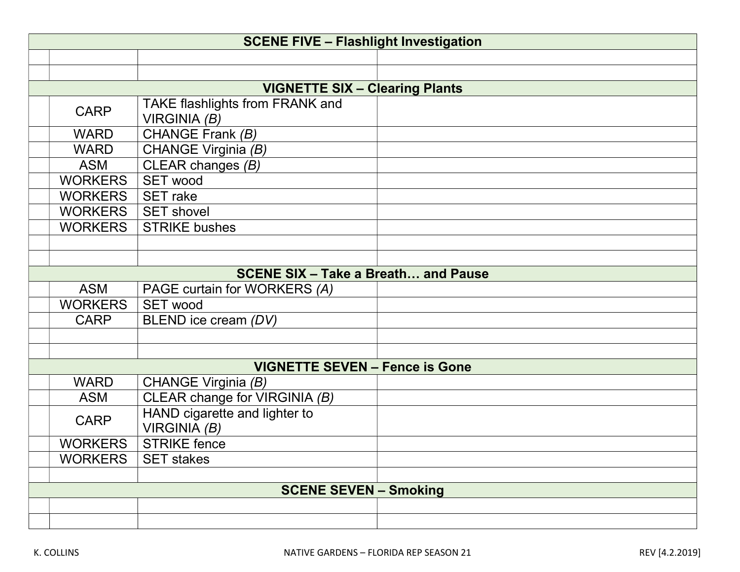| <b>SCENE FIVE - Flashlight Investigation</b> |                                                   |  |  |  |
|----------------------------------------------|---------------------------------------------------|--|--|--|
|                                              |                                                   |  |  |  |
|                                              |                                                   |  |  |  |
| <b>VIGNETTE SIX - Clearing Plants</b>        |                                                   |  |  |  |
| <b>CARP</b>                                  | TAKE flashlights from FRANK and<br>VIRGINIA $(B)$ |  |  |  |
| <b>WARD</b>                                  | CHANGE Frank (B)                                  |  |  |  |
| <b>WARD</b>                                  | CHANGE Virginia (B)                               |  |  |  |
| <b>ASM</b>                                   | CLEAR changes (B)                                 |  |  |  |
| <b>WORKERS</b>                               | <b>SET wood</b>                                   |  |  |  |
| <b>WORKERS</b>                               | <b>SET</b> rake                                   |  |  |  |
| <b>WORKERS</b>                               | <b>SET shovel</b>                                 |  |  |  |
| <b>WORKERS</b>                               | <b>STRIKE bushes</b>                              |  |  |  |
|                                              |                                                   |  |  |  |
|                                              |                                                   |  |  |  |
|                                              | <b>SCENE SIX - Take a Breath and Pause</b>        |  |  |  |
| <b>ASM</b>                                   | PAGE curtain for WORKERS (A)                      |  |  |  |
| <b>WORKERS</b>                               | <b>SET wood</b>                                   |  |  |  |
| <b>CARP</b>                                  | BLEND ice cream (DV)                              |  |  |  |
|                                              |                                                   |  |  |  |
|                                              |                                                   |  |  |  |
|                                              | <b>VIGNETTE SEVEN - Fence is Gone</b>             |  |  |  |
| <b>WARD</b>                                  | CHANGE Virginia (B)                               |  |  |  |
| <b>ASM</b>                                   | CLEAR change for VIRGINIA (B)                     |  |  |  |
| <b>CARP</b>                                  | HAND cigarette and lighter to<br>VIRGINIA(B)      |  |  |  |
| <b>WORKERS</b>                               | <b>STRIKE</b> fence                               |  |  |  |
| <b>WORKERS</b>                               | <b>SET stakes</b>                                 |  |  |  |
|                                              |                                                   |  |  |  |
|                                              | <b>SCENE SEVEN - Smoking</b>                      |  |  |  |
|                                              |                                                   |  |  |  |
|                                              |                                                   |  |  |  |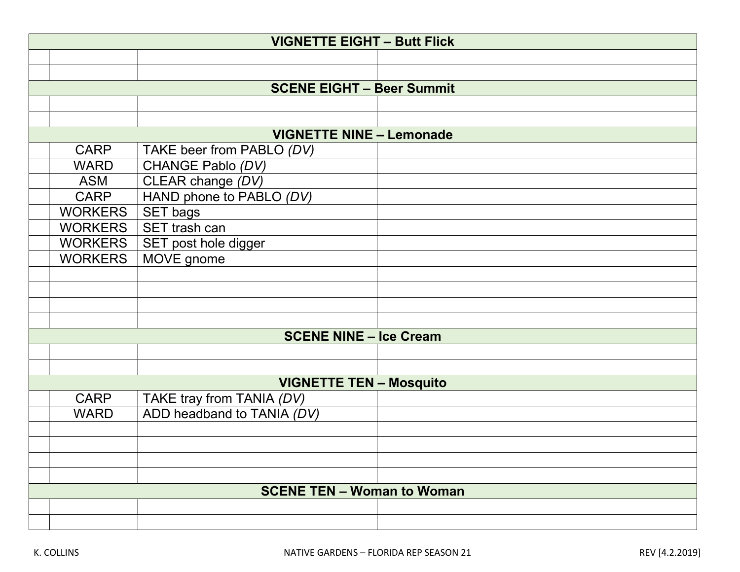| <b>VIGNETTE EIGHT - Butt Flick</b> |                                  |  |  |  |
|------------------------------------|----------------------------------|--|--|--|
|                                    |                                  |  |  |  |
|                                    |                                  |  |  |  |
|                                    | <b>SCENE EIGHT - Beer Summit</b> |  |  |  |
|                                    |                                  |  |  |  |
|                                    |                                  |  |  |  |
|                                    | <b>VIGNETTE NINE - Lemonade</b>  |  |  |  |
| <b>CARP</b>                        | TAKE beer from PABLO (DV)        |  |  |  |
| <b>WARD</b>                        | CHANGE Pablo (DV)                |  |  |  |
| <b>ASM</b>                         | CLEAR change (DV)                |  |  |  |
| <b>CARP</b>                        | HAND phone to PABLO (DV)         |  |  |  |
| <b>WORKERS</b>                     | <b>SET bags</b>                  |  |  |  |
| <b>WORKERS</b>                     | SET trash can                    |  |  |  |
| <b>WORKERS</b>                     | SET post hole digger             |  |  |  |
| <b>WORKERS</b>                     | MOVE gnome                       |  |  |  |
|                                    |                                  |  |  |  |
|                                    |                                  |  |  |  |
|                                    |                                  |  |  |  |
|                                    |                                  |  |  |  |
|                                    | <b>SCENE NINE - Ice Cream</b>    |  |  |  |
|                                    |                                  |  |  |  |
|                                    |                                  |  |  |  |
|                                    | <b>VIGNETTE TEN - Mosquito</b>   |  |  |  |
| <b>CARP</b>                        | TAKE tray from TANIA (DV)        |  |  |  |
| <b>WARD</b>                        | ADD headband to TANIA (DV)       |  |  |  |
|                                    |                                  |  |  |  |
|                                    |                                  |  |  |  |
|                                    |                                  |  |  |  |
|                                    |                                  |  |  |  |
| <b>SCENE TEN - Woman to Woman</b>  |                                  |  |  |  |
|                                    |                                  |  |  |  |
|                                    |                                  |  |  |  |